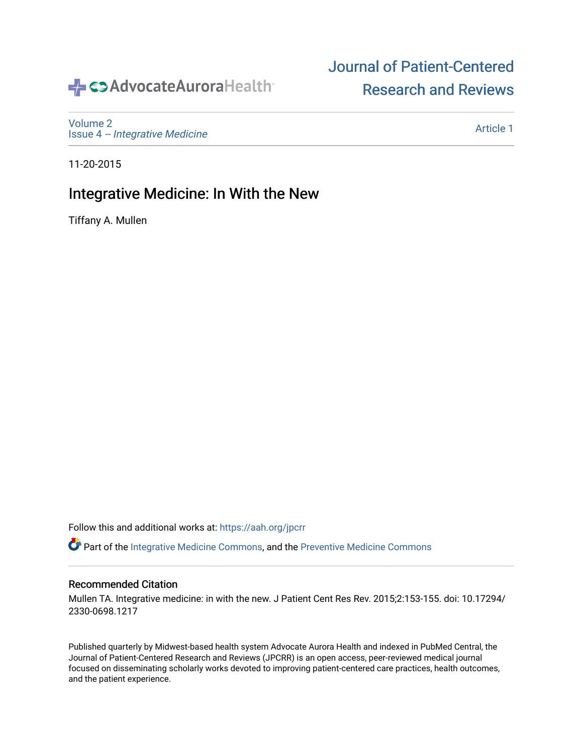# SAdvocateAuroraHealth®

[Volume 2](https://institutionalrepository.aah.org/jpcrr/vol2) Issue 4 [-- Integrative Medicine](https://institutionalrepository.aah.org/jpcrr/vol2/iss4) [Journal of Patient-Centered](https://institutionalrepository.aah.org/jpcrr)  [Research and Reviews](https://institutionalrepository.aah.org/jpcrr) 

11-20-2015

### Integrative Medicine: In With the New

Tiffany A. Mullen

Follow this and additional works at: [https://aah.org/jpcrr](https://institutionalrepository.aah.org/jpcrr?utm_source=institutionalrepository.aah.org%2Fjpcrr%2Fvol2%2Fiss4%2F1&utm_medium=PDF&utm_campaign=PDFCoverPages) 

Part of the [Integrative Medicine Commons,](http://network.bepress.com/hgg/discipline/1355?utm_source=institutionalrepository.aah.org%2Fjpcrr%2Fvol2%2Fiss4%2F1&utm_medium=PDF&utm_campaign=PDFCoverPages) and the [Preventive Medicine Commons](http://network.bepress.com/hgg/discipline/703?utm_source=institutionalrepository.aah.org%2Fjpcrr%2Fvol2%2Fiss4%2F1&utm_medium=PDF&utm_campaign=PDFCoverPages) 

#### Recommended Citation

Mullen TA. Integrative medicine: in with the new. J Patient Cent Res Rev. 2015;2:153-155. doi: 10.17294/ 2330-0698.1217

Published quarterly by Midwest-based health system Advocate Aurora Health and indexed in PubMed Central, the Journal of Patient-Centered Research and Reviews (JPCRR) is an open access, peer-reviewed medical journal focused on disseminating scholarly works devoted to improving patient-centered care practices, health outcomes, and the patient experience.

[Article 1](https://institutionalrepository.aah.org/jpcrr/vol2/iss4/1)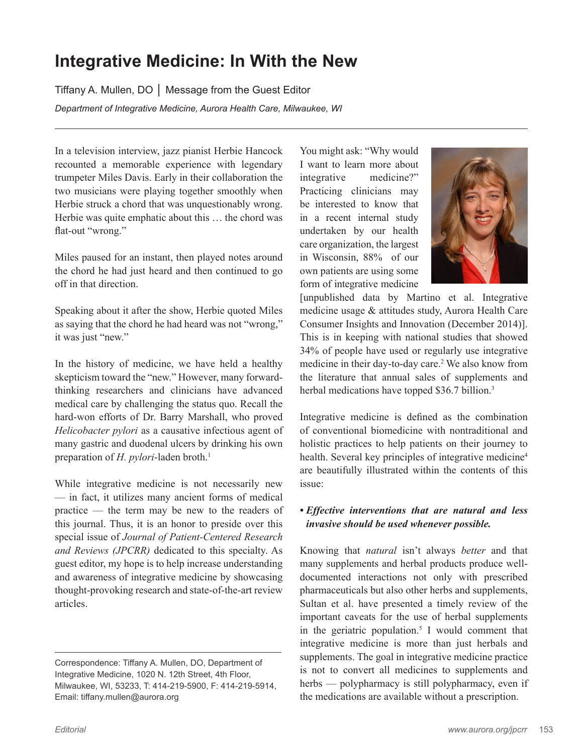## **Integrative Medicine: In With the New**

Tiffany A. Mullen, DO │ Message from the Guest Editor *Department of Integrative Medicine, Aurora Health Care, Milwaukee, WI*

In a television interview, jazz pianist Herbie Hancock recounted a memorable experience with legendary trumpeter Miles Davis. Early in their collaboration the two musicians were playing together smoothly when Herbie struck a chord that was unquestionably wrong. Herbie was quite emphatic about this … the chord was flat-out "wrong."

Miles paused for an instant, then played notes around the chord he had just heard and then continued to go off in that direction.

Speaking about it after the show, Herbie quoted Miles as saying that the chord he had heard was not "wrong," it was just "new."

In the history of medicine, we have held a healthy skepticism toward the "new." However, many forwardthinking researchers and clinicians have advanced medical care by challenging the status quo. Recall the hard-won efforts of Dr. Barry Marshall, who proved *Helicobacter pylori* as a causative infectious agent of many gastric and duodenal ulcers by drinking his own preparation of *H. pylori*-laden broth.<sup>1</sup>

While integrative medicine is not necessarily new –– in fact, it utilizes many ancient forms of medical practice –– the term may be new to the readers of this journal. Thus, it is an honor to preside over this special issue of *Journal of Patient-Centered Research and Reviews (JPCRR)* dedicated to this specialty. As guest editor, my hope is to help increase understanding and awareness of integrative medicine by showcasing thought-provoking research and state-of-the-art review articles.

You might ask: "Why would I want to learn more about integrative medicine?" Practicing clinicians may be interested to know that in a recent internal study undertaken by our health care organization, the largest in Wisconsin, 88% of our own patients are using some form of integrative medicine



[unpublished data by Martino et al. Integrative medicine usage & attitudes study, Aurora Health Care Consumer Insights and Innovation (December 2014)]. This is in keeping with national studies that showed 34% of people have used or regularly use integrative medicine in their day-to-day care.<sup>2</sup> We also know from the literature that annual sales of supplements and herbal medications have topped \$36.7 billion.<sup>3</sup>

Integrative medicine is defined as the combination of conventional biomedicine with nontraditional and holistic practices to help patients on their journey to health. Several key principles of integrative medicine<sup>4</sup> are beautifully illustrated within the contents of this issue:

#### *• Effective interventions that are natural and less invasive should be used whenever possible.*

Knowing that *natural* isn't always *better* and that many supplements and herbal products produce welldocumented interactions not only with prescribed pharmaceuticals but also other herbs and supplements, Sultan et al. have presented a timely review of the important caveats for the use of herbal supplements in the geriatric population.<sup>5</sup> I would comment that integrative medicine is more than just herbals and supplements. The goal in integrative medicine practice is not to convert all medicines to supplements and herbs — polypharmacy is still polypharmacy, even if the medications are available without a prescription.

Correspondence: Tiffany A. Mullen, DO, Department of Integrative Medicine, 1020 N. 12th Street, 4th Floor, Milwaukee, WI, 53233, T: 414-219-5900, F: 414-219-5914, Email: tiffany.mullen@aurora.org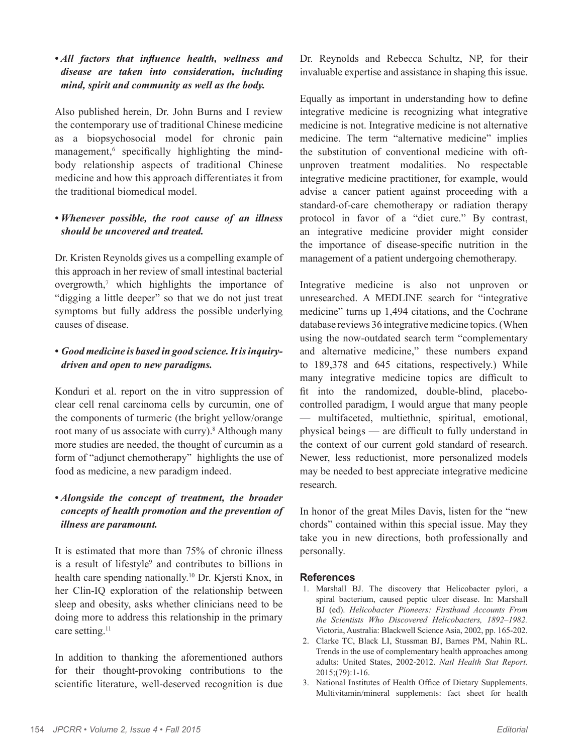#### *• All factors that influence health, wellness and disease are taken into consideration, including mind, spirit and community as well as the body.*

Also published herein, Dr. John Burns and I review the contemporary use of traditional Chinese medicine as a biopsychosocial model for chronic pain management,<sup>6</sup> specifically highlighting the mindbody relationship aspects of traditional Chinese medicine and how this approach differentiates it from the traditional biomedical model.

#### *• Whenever possible, the root cause of an illness should be uncovered and treated.*

Dr. Kristen Reynolds gives us a compelling example of this approach in her review of small intestinal bacterial overgrowth,7 which highlights the importance of "digging a little deeper" so that we do not just treat symptoms but fully address the possible underlying causes of disease.

#### *• Good medicine is based in good science. It is inquirydriven and open to new paradigms.*

Konduri et al. report on the in vitro suppression of clear cell renal carcinoma cells by curcumin, one of the components of turmeric (the bright yellow/orange root many of us associate with curry).<sup>8</sup> Although many more studies are needed, the thought of curcumin as a form of "adjunct chemotherapy" highlights the use of food as medicine, a new paradigm indeed.

#### *• Alongside the concept of treatment, the broader concepts of health promotion and the prevention of illness are paramount.*

It is estimated that more than 75% of chronic illness is a result of lifestyle<sup>9</sup> and contributes to billions in health care spending nationally.<sup>10</sup> Dr. Kjersti Knox, in her Clin-IQ exploration of the relationship between sleep and obesity, asks whether clinicians need to be doing more to address this relationship in the primary care setting.<sup>11</sup>

In addition to thanking the aforementioned authors for their thought-provoking contributions to the scientific literature, well-deserved recognition is due Dr. Reynolds and Rebecca Schultz, NP, for their invaluable expertise and assistance in shaping this issue.

Equally as important in understanding how to define integrative medicine is recognizing what integrative medicine is not. Integrative medicine is not alternative medicine. The term "alternative medicine" implies the substitution of conventional medicine with oftunproven treatment modalities. No respectable integrative medicine practitioner, for example, would advise a cancer patient against proceeding with a standard-of-care chemotherapy or radiation therapy protocol in favor of a "diet cure." By contrast, an integrative medicine provider might consider the importance of disease-specific nutrition in the management of a patient undergoing chemotherapy.

Integrative medicine is also not unproven or unresearched. A MEDLINE search for "integrative medicine" turns up 1,494 citations, and the Cochrane database reviews 36 integrative medicine topics. (When using the now-outdated search term "complementary and alternative medicine," these numbers expand to 189,378 and 645 citations, respectively.) While many integrative medicine topics are difficult to fit into the randomized, double-blind, placebocontrolled paradigm, I would argue that many people — multifaceted, multiethnic, spiritual, emotional, physical beings — are difficult to fully understand in the context of our current gold standard of research. Newer, less reductionist, more personalized models may be needed to best appreciate integrative medicine research.

In honor of the great Miles Davis, listen for the "new chords" contained within this special issue. May they take you in new directions, both professionally and personally.

#### **References**

- 1. Marshall BJ. The discovery that Helicobacter pylori, a spiral bacterium, caused peptic ulcer disease. In: Marshall BJ (ed). *Helicobacter Pioneers: Firsthand Accounts From the Scientists Who Discovered Helicobacters, 1892–1982.* Victoria, Australia: Blackwell Science Asia, 2002, pp. 165-202.
- 2. Clarke TC, Black LI, Stussman BJ, Barnes PM, Nahin RL. Trends in the use of complementary health approaches among adults: United States, 2002-2012. *Natl Health Stat Report.* 2015;(79):1-16.
- 3. National Institutes of Health Office of Dietary Supplements. Multivitamin/mineral supplements: fact sheet for health